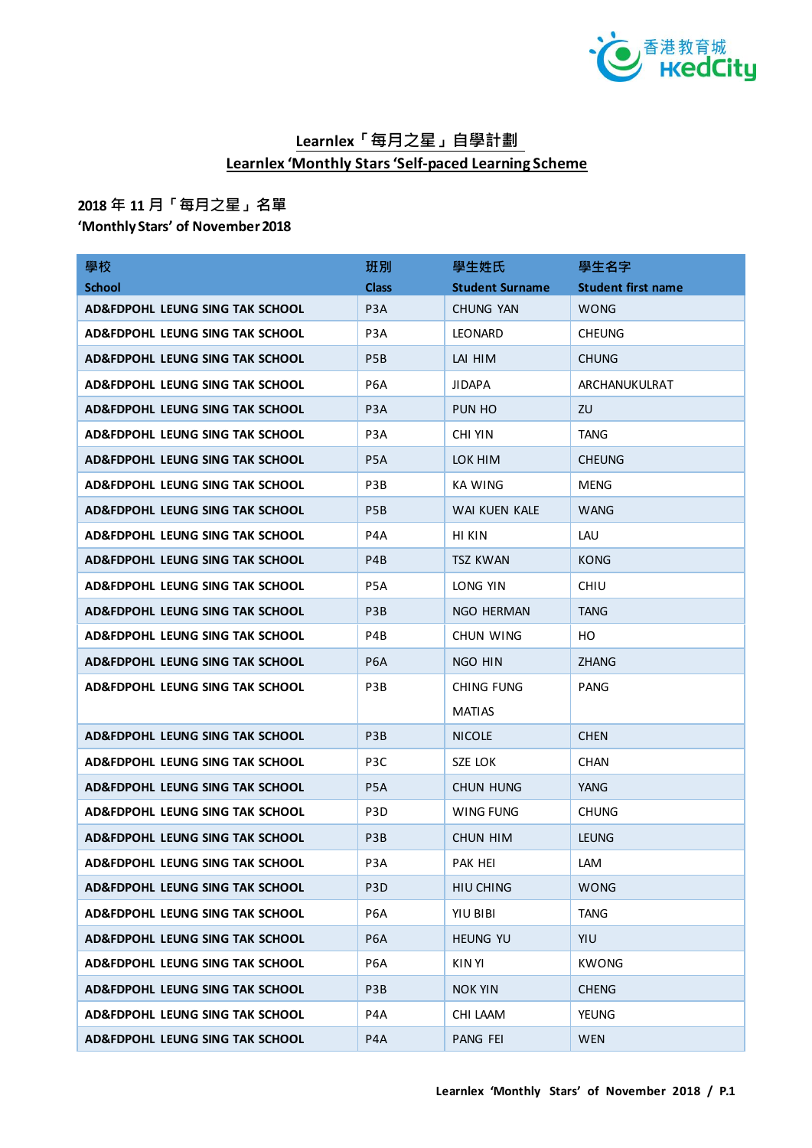

## **Learnlex「每月之星」自學計劃 Learnlex 'Monthly Stars 'Self-paced Learning Scheme**

## **2018 年 11 月「每月之星」名單**

**'Monthly Stars' of November 2018**

| 學校                                         | 班別               | 學生姓氏                   | 學生名字                      |
|--------------------------------------------|------------------|------------------------|---------------------------|
| <b>School</b>                              | <b>Class</b>     | <b>Student Surname</b> | <b>Student first name</b> |
| AD&FDPOHL LEUNG SING TAK SCHOOL            | P <sub>3</sub> A | CHUNG YAN              | <b>WONG</b>               |
| AD&FDPOHL LEUNG SING TAK SCHOOL            | P <sub>3</sub> A | <b>LEONARD</b>         | <b>CHEUNG</b>             |
| AD&FDPOHL LEUNG SING TAK SCHOOL            | P <sub>5</sub> B | LAI HIM                | <b>CHUNG</b>              |
| AD&FDPOHL LEUNG SING TAK SCHOOL            | P <sub>6</sub> A | <b>JIDAPA</b>          | ARCHANUKULRAT             |
| AD&FDPOHL LEUNG SING TAK SCHOOL            | P <sub>3</sub> A | PUN HO                 | ZU                        |
| AD&FDPOHL LEUNG SING TAK SCHOOL            | P <sub>3</sub> A | CHI YIN                | <b>TANG</b>               |
| AD&FDPOHL LEUNG SING TAK SCHOOL            | P <sub>5</sub> A | LOK HIM                | <b>CHEUNG</b>             |
| AD&FDPOHL LEUNG SING TAK SCHOOL            | P3B              | KA WING                | <b>MENG</b>               |
| AD&FDPOHL LEUNG SING TAK SCHOOL            | P <sub>5</sub> B | WAI KUEN KALE          | <b>WANG</b>               |
| AD&FDPOHL LEUNG SING TAK SCHOOL            | P4A              | HI KIN                 | LAU                       |
| <b>AD&amp;FDPOHL LEUNG SING TAK SCHOOL</b> | P <sub>4</sub> B | <b>TSZ KWAN</b>        | <b>KONG</b>               |
| AD&FDPOHL LEUNG SING TAK SCHOOL            | P5A              | LONG YIN               | <b>CHIU</b>               |
| AD&FDPOHL LEUNG SING TAK SCHOOL            | P <sub>3</sub> B | NGO HERMAN             | <b>TANG</b>               |
| AD&FDPOHL LEUNG SING TAK SCHOOL            | P4B              | CHUN WING              | HO                        |
| AD&FDPOHL LEUNG SING TAK SCHOOL            | P <sub>6</sub> A | NGO HIN                | <b>ZHANG</b>              |
| AD&FDPOHL LEUNG SING TAK SCHOOL            | P3B              | CHING FUNG             | <b>PANG</b>               |
|                                            |                  | <b>MATIAS</b>          |                           |
| AD&FDPOHL LEUNG SING TAK SCHOOL            | P <sub>3</sub> B | <b>NICOLE</b>          | <b>CHEN</b>               |
| AD&FDPOHL LEUNG SING TAK SCHOOL            | P <sub>3</sub> C | SZE LOK                | <b>CHAN</b>               |
| AD&FDPOHL LEUNG SING TAK SCHOOL            | P <sub>5</sub> A | <b>CHUN HUNG</b>       | <b>YANG</b>               |
| AD&FDPOHL LEUNG SING TAK SCHOOL            | P <sub>3</sub> D | WING FUNG              | <b>CHUNG</b>              |
| AD&FDPOHL LEUNG SING TAK SCHOOL            | P <sub>3</sub> B | CHUN HIM               | <b>LEUNG</b>              |
| AD&FDPOHL LEUNG SING TAK SCHOOL            | P <sub>3</sub> A | PAK HEI                | LAM                       |
| AD&FDPOHL LEUNG SING TAK SCHOOL            | P <sub>3</sub> D | HIU CHING              | <b>WONG</b>               |
| AD&FDPOHL LEUNG SING TAK SCHOOL            | P6A              | YIU BIBI               | <b>TANG</b>               |
| AD&FDPOHL LEUNG SING TAK SCHOOL            | P <sub>6</sub> A | <b>HEUNG YU</b>        | YIU                       |
| AD&FDPOHL LEUNG SING TAK SCHOOL            | P <sub>6</sub> A | KIN YI                 | <b>KWONG</b>              |
| AD&FDPOHL LEUNG SING TAK SCHOOL            | P3B              | <b>NOK YIN</b>         | <b>CHENG</b>              |
| AD&FDPOHL LEUNG SING TAK SCHOOL            | P4A              | CHI LAAM               | <b>YEUNG</b>              |
| AD&FDPOHL LEUNG SING TAK SCHOOL            | P <sub>4</sub> A | <b>PANG FEI</b>        | <b>WEN</b>                |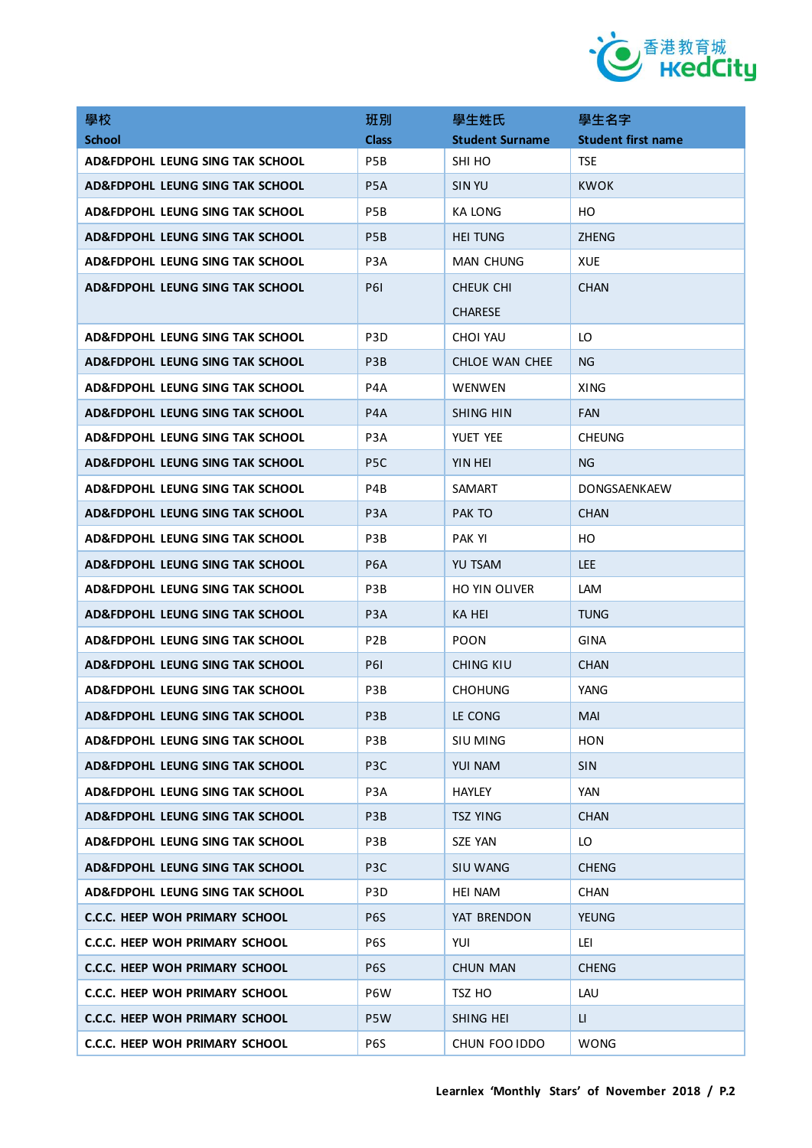

| 學校                                    | 班別               | 學生姓氏                   | 學生名字                      |
|---------------------------------------|------------------|------------------------|---------------------------|
| <b>School</b>                         | <b>Class</b>     | <b>Student Surname</b> | <b>Student first name</b> |
| AD&FDPOHL LEUNG SING TAK SCHOOL       | P5B              | SHI HO                 | <b>TSE</b>                |
| AD&FDPOHL LEUNG SING TAK SCHOOL       | P <sub>5</sub> A | <b>SIN YU</b>          | <b>KWOK</b>               |
| AD&FDPOHL LEUNG SING TAK SCHOOL       | P5B              | KA LONG                | HO                        |
| AD&FDPOHL LEUNG SING TAK SCHOOL       | P <sub>5</sub> B | <b>HEI TUNG</b>        | <b>ZHENG</b>              |
| AD&FDPOHL LEUNG SING TAK SCHOOL       | P <sub>3</sub> A | MAN CHUNG              | <b>XUE</b>                |
| AD&FDPOHL LEUNG SING TAK SCHOOL       | <b>P61</b>       | CHEUK CHI              | <b>CHAN</b>               |
|                                       |                  | <b>CHARESE</b>         |                           |
| AD&FDPOHL LEUNG SING TAK SCHOOL       | P <sub>3</sub> D | CHOI YAU               | LO                        |
| AD&FDPOHL LEUNG SING TAK SCHOOL       | P <sub>3</sub> B | CHLOE WAN CHEE         | NG.                       |
| AD&FDPOHL LEUNG SING TAK SCHOOL       | P4A              | <b>WENWEN</b>          | <b>XING</b>               |
| AD&FDPOHL LEUNG SING TAK SCHOOL       | P <sub>4</sub> A | SHING HIN              | <b>FAN</b>                |
| AD&FDPOHL LEUNG SING TAK SCHOOL       | P <sub>3</sub> A | YUET YEE               | <b>CHEUNG</b>             |
| AD&FDPOHL LEUNG SING TAK SCHOOL       | P <sub>5</sub> C | YIN HEI                | NG.                       |
| AD&FDPOHL LEUNG SING TAK SCHOOL       | P4B              | SAMART                 | DONGSAENKAEW              |
| AD&FDPOHL LEUNG SING TAK SCHOOL       | P <sub>3</sub> A | PAK TO                 | <b>CHAN</b>               |
| AD&FDPOHL LEUNG SING TAK SCHOOL       | P3B              | PAK YI                 | HO                        |
| AD&FDPOHL LEUNG SING TAK SCHOOL       | P <sub>6</sub> A | <b>YU TSAM</b>         | LEE.                      |
| AD&FDPOHL LEUNG SING TAK SCHOOL       | P3B              | HO YIN OLIVER          | <b>LAM</b>                |
| AD&FDPOHL LEUNG SING TAK SCHOOL       | P <sub>3</sub> A | KA HEI                 | <b>TUNG</b>               |
| AD&FDPOHL LEUNG SING TAK SCHOOL       | P <sub>2</sub> B | <b>POON</b>            | GINA                      |
| AD&FDPOHL LEUNG SING TAK SCHOOL       | <b>P61</b>       | CHING KIU              | <b>CHAN</b>               |
| AD&FDPOHL LEUNG SING TAK SCHOOL       | P3B              | <b>CHOHUNG</b>         | YANG                      |
| AD&FDPOHL LEUNG SING TAK SCHOOL       | P <sub>3</sub> B | LE CONG                | MAI.                      |
| AD&FDPOHL LEUNG SING TAK SCHOOL       | P3B              | SIU MING               | HON                       |
| AD&FDPOHL LEUNG SING TAK SCHOOL       | P <sub>3</sub> C | YUI NAM                | <b>SIN</b>                |
| AD&FDPOHL LEUNG SING TAK SCHOOL       | P <sub>3</sub> A | <b>HAYLEY</b>          | YAN                       |
| AD&FDPOHL LEUNG SING TAK SCHOOL       | P3B              | <b>TSZ YING</b>        | <b>CHAN</b>               |
| AD&FDPOHL LEUNG SING TAK SCHOOL       | P3B              | <b>SZE YAN</b>         | LO                        |
| AD&FDPOHL LEUNG SING TAK SCHOOL       | P <sub>3</sub> C | SIU WANG               | <b>CHENG</b>              |
| AD&FDPOHL LEUNG SING TAK SCHOOL       | P3D              | HEI NAM                | <b>CHAN</b>               |
| <b>C.C.C. HEEP WOH PRIMARY SCHOOL</b> | P6S              | YAT BRENDON            | <b>YEUNG</b>              |
| C.C.C. HEEP WOH PRIMARY SCHOOL        | P <sub>6</sub> S | YUI                    | LEI                       |
| <b>C.C.C. HEEP WOH PRIMARY SCHOOL</b> | P <sub>6</sub> S | <b>CHUN MAN</b>        | <b>CHENG</b>              |
| <b>C.C.C. HEEP WOH PRIMARY SCHOOL</b> | P6W              | TSZ HO                 | LAU                       |
| <b>C.C.C. HEEP WOH PRIMARY SCHOOL</b> | P5W              | SHING HEI              | U.                        |
| C.C.C. HEEP WOH PRIMARY SCHOOL        | P6S              | CHUN FOO IDDO          | <b>WONG</b>               |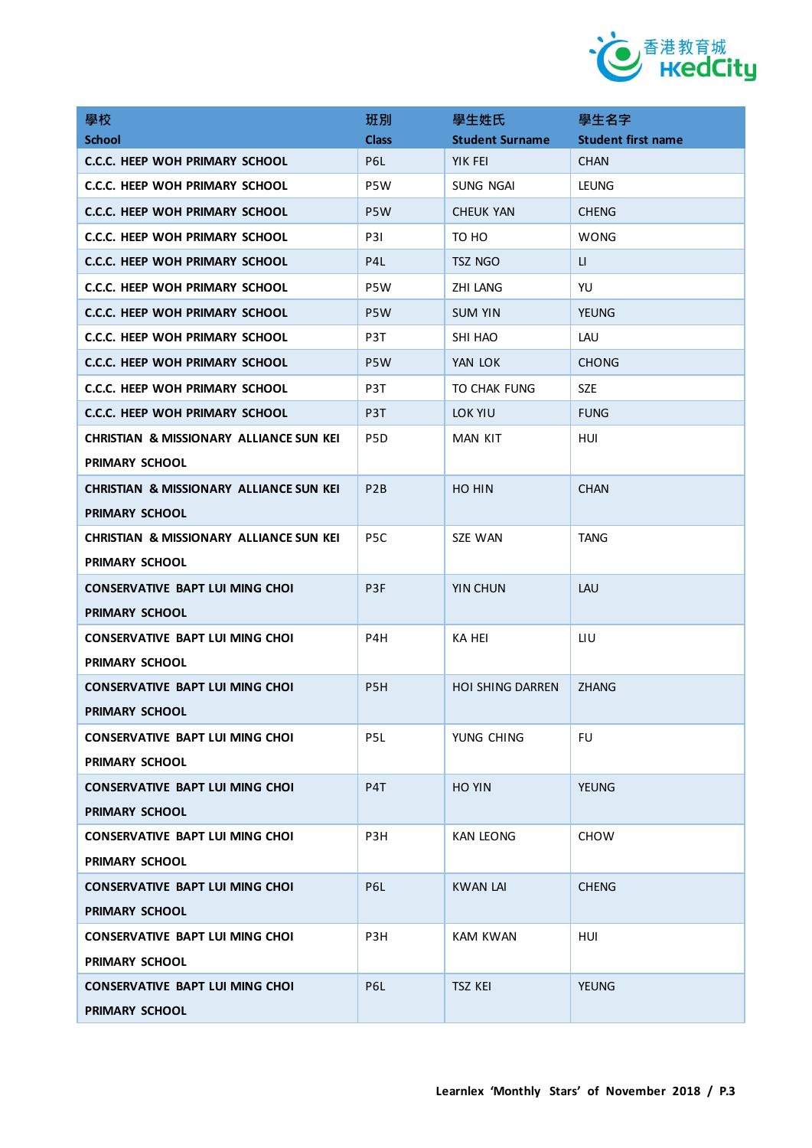

| 學校                                                 | 班別               | 學生姓氏                    | 學生名字                      |
|----------------------------------------------------|------------------|-------------------------|---------------------------|
| <b>School</b>                                      | <b>Class</b>     | <b>Student Surname</b>  | <b>Student first name</b> |
| C.C.C. HEEP WOH PRIMARY SCHOOL                     | P6L              | YIK FEI                 | <b>CHAN</b>               |
| C.C.C. HEEP WOH PRIMARY SCHOOL                     | P5W              | SUNG NGAI               | <b>LEUNG</b>              |
| C.C.C. HEEP WOH PRIMARY SCHOOL                     | P <sub>5</sub> W | <b>CHEUK YAN</b>        | <b>CHENG</b>              |
| <b>C.C.C. HEEP WOH PRIMARY SCHOOL</b>              | <b>P31</b>       | TO HO                   | <b>WONG</b>               |
| C.C.C. HEEP WOH PRIMARY SCHOOL                     | P <sub>4</sub> L | tsz ngo                 | П                         |
| C.C.C. HEEP WOH PRIMARY SCHOOL                     | P5W              | <b>ZHI LANG</b>         | YU                        |
| C.C.C. HEEP WOH PRIMARY SCHOOL                     | P <sub>5</sub> W | <b>SUM YIN</b>          | <b>YEUNG</b>              |
| C.C.C. HEEP WOH PRIMARY SCHOOL                     | P3T              | SHI HAO                 | LAU                       |
| C.C.C. HEEP WOH PRIMARY SCHOOL                     | P5W              | YAN LOK                 | <b>CHONG</b>              |
| C.C.C. HEEP WOH PRIMARY SCHOOL                     | P3T              | TO CHAK FUNG            | <b>SZE</b>                |
| C.C.C. HEEP WOH PRIMARY SCHOOL                     | P3T              | LOK YIU                 | <b>FUNG</b>               |
| <b>CHRISTIAN &amp; MISSIONARY ALLIANCE SUN KEI</b> | P5D              | MAN KIT                 | HUI                       |
| PRIMARY SCHOOL                                     |                  |                         |                           |
| <b>CHRISTIAN &amp; MISSIONARY ALLIANCE SUN KEI</b> | P <sub>2</sub> B | HO HIN                  | <b>CHAN</b>               |
| <b>PRIMARY SCHOOL</b>                              |                  |                         |                           |
| <b>CHRISTIAN &amp; MISSIONARY ALLIANCE SUN KEI</b> | P <sub>5</sub> C | SZE WAN                 | <b>TANG</b>               |
| <b>PRIMARY SCHOOL</b>                              |                  |                         |                           |
| <b>CONSERVATIVE BAPT LUI MING CHOI</b>             | P <sub>3F</sub>  | YIN CHUN                | LAU                       |
| <b>PRIMARY SCHOOL</b>                              |                  |                         |                           |
| <b>CONSERVATIVE BAPT LUI MING CHOI</b>             | P4H              | KA HEI                  | LIU                       |
| <b>PRIMARY SCHOOL</b>                              |                  |                         |                           |
| <b>CONSERVATIVE BAPT LUI MING CHOI</b>             | P <sub>5</sub> H | <b>HOI SHING DARREN</b> | <b>ZHANG</b>              |
| <b>PRIMARY SCHOOL</b>                              |                  |                         |                           |
| <b>CONSERVATIVE BAPT LUI MING CHOI</b>             | P5L              | YUNG CHING              | <b>FU</b>                 |
| PRIMARY SCHOOL                                     |                  |                         |                           |
| <b>CONSERVATIVE BAPT LUI MING CHOI</b>             | P <sub>4</sub> T | HO YIN                  | <b>YEUNG</b>              |
| <b>PRIMARY SCHOOL</b>                              |                  |                         |                           |
| <b>CONSERVATIVE BAPT LUI MING CHOI</b>             | P3H              | <b>KAN LEONG</b>        | <b>CHOW</b>               |
| PRIMARY SCHOOL                                     |                  |                         |                           |
| <b>CONSERVATIVE BAPT LUI MING CHOI</b>             | P6L              | <b>KWAN LAI</b>         | <b>CHENG</b>              |
| PRIMARY SCHOOL                                     |                  |                         |                           |
| CONSERVATIVE BAPT LUI MING CHOI                    | P3H              | <b>KAM KWAN</b>         | HUI                       |
| PRIMARY SCHOOL                                     |                  |                         |                           |
| CONSERVATIVE BAPT LUI MING CHOI                    | P6L              | <b>TSZ KEI</b>          | <b>YEUNG</b>              |
| PRIMARY SCHOOL                                     |                  |                         |                           |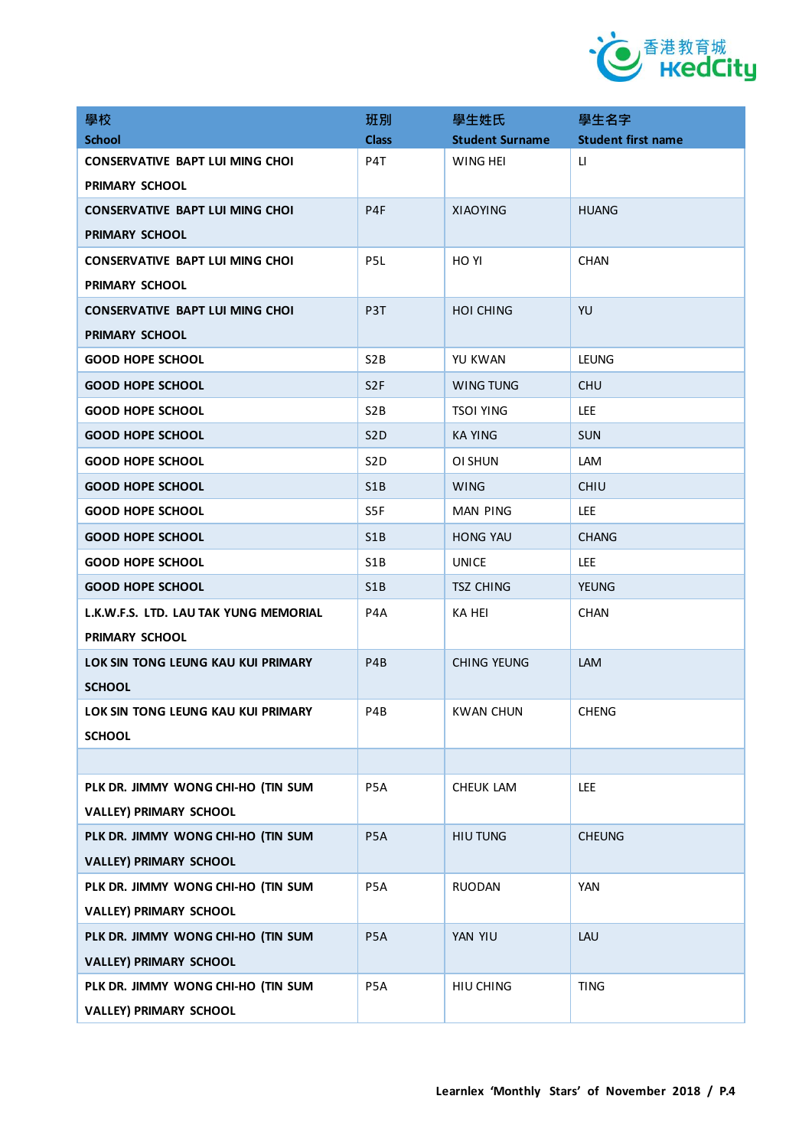

| 學校                                     | 班別               | 學生姓氏                   | 學生名字                      |
|----------------------------------------|------------------|------------------------|---------------------------|
| <b>School</b>                          | <b>Class</b>     | <b>Student Surname</b> | <b>Student first name</b> |
| <b>CONSERVATIVE BAPT LUI MING CHOI</b> | P4T              | WING HEI               | П                         |
| PRIMARY SCHOOL                         |                  |                        |                           |
| <b>CONSERVATIVE BAPT LUI MING CHOI</b> | P <sub>4F</sub>  | <b>XIAOYING</b>        | <b>HUANG</b>              |
| <b>PRIMARY SCHOOL</b>                  |                  |                        |                           |
| <b>CONSERVATIVE BAPT LUI MING CHOI</b> | P5L              | HO YI                  | <b>CHAN</b>               |
| <b>PRIMARY SCHOOL</b>                  |                  |                        |                           |
| <b>CONSERVATIVE BAPT LUI MING CHOI</b> | P <sub>3</sub> T | <b>HOI CHING</b>       | YU                        |
| <b>PRIMARY SCHOOL</b>                  |                  |                        |                           |
| <b>GOOD HOPE SCHOOL</b>                | S2B              | YU KWAN                | <b>LEUNG</b>              |
| <b>GOOD HOPE SCHOOL</b>                | S <sub>2F</sub>  | WING TUNG              | <b>CHU</b>                |
| <b>GOOD HOPE SCHOOL</b>                | S <sub>2</sub> B | <b>TSOI YING</b>       | LEE.                      |
| <b>GOOD HOPE SCHOOL</b>                | S <sub>2</sub> D | <b>KA YING</b>         | <b>SUN</b>                |
| <b>GOOD HOPE SCHOOL</b>                | S <sub>2</sub> D | OI SHUN                | LAM                       |
| <b>GOOD HOPE SCHOOL</b>                | S <sub>1</sub> B | <b>WING</b>            | <b>CHIU</b>               |
| <b>GOOD HOPE SCHOOL</b>                | S5F              | <b>MAN PING</b>        | <b>LEE</b>                |
| <b>GOOD HOPE SCHOOL</b>                | S1B              | <b>HONG YAU</b>        | <b>CHANG</b>              |
| <b>GOOD HOPE SCHOOL</b>                | S <sub>1</sub> B | <b>UNICE</b>           | LEE.                      |
| <b>GOOD HOPE SCHOOL</b>                | S <sub>1</sub> B | <b>TSZ CHING</b>       | <b>YEUNG</b>              |
| L.K.W.F.S. LTD. LAU TAK YUNG MEMORIAL  | P4A              | <b>KA HEI</b>          | <b>CHAN</b>               |
| PRIMARY SCHOOL                         |                  |                        |                           |
| LOK SIN TONG LEUNG KAU KUI PRIMARY     | P <sub>4</sub> B | <b>CHING YEUNG</b>     | <b>LAM</b>                |
| <b>SCHOOL</b>                          |                  |                        |                           |
| LOK SIN TONG LEUNG KAU KUI PRIMARY     | P4B              | KWAN CHUN              | <b>CHENG</b>              |
| <b>SCHOOL</b>                          |                  |                        |                           |
|                                        |                  |                        |                           |
| PLK DR. JIMMY WONG CHI-HO (TIN SUM     | P5A              | CHEUK LAM              | LEE                       |
| <b>VALLEY) PRIMARY SCHOOL</b>          |                  |                        |                           |
| PLK DR. JIMMY WONG CHI-HO (TIN SUM     | P5A              | HIU TUNG               | <b>CHEUNG</b>             |
| <b>VALLEY) PRIMARY SCHOOL</b>          |                  |                        |                           |
| PLK DR. JIMMY WONG CHI-HO (TIN SUM     | P5A              | <b>RUODAN</b>          | <b>YAN</b>                |
| <b>VALLEY) PRIMARY SCHOOL</b>          |                  |                        |                           |
| PLK DR. JIMMY WONG CHI-HO (TIN SUM     | P5A              | YAN YIU                | LAU                       |
| <b>VALLEY) PRIMARY SCHOOL</b>          |                  |                        |                           |
| PLK DR. JIMMY WONG CHI-HO (TIN SUM     | P5A              | HIU CHING              | <b>TING</b>               |
| <b>VALLEY) PRIMARY SCHOOL</b>          |                  |                        |                           |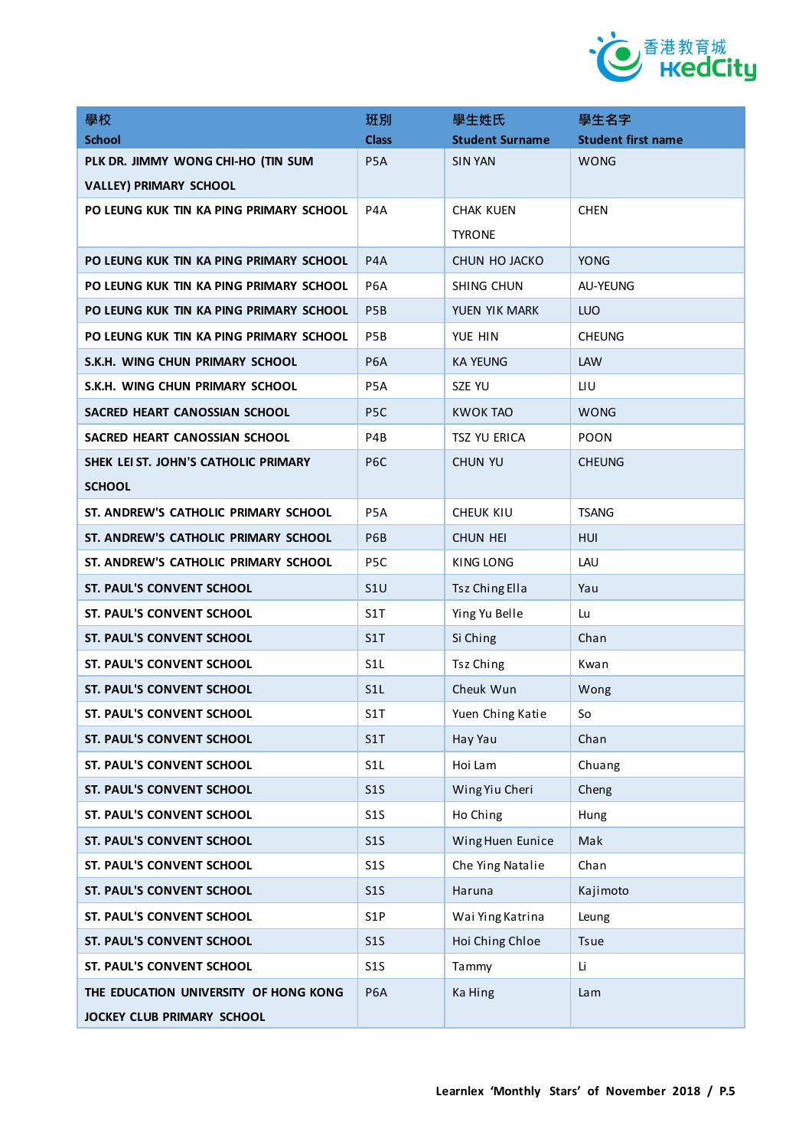

| 學校                                      | 班別               | 學生姓氏                   | 學生名字                      |
|-----------------------------------------|------------------|------------------------|---------------------------|
| <b>School</b>                           | <b>Class</b>     | <b>Student Surname</b> | <b>Student first name</b> |
| PLK DR. JIMMY WONG CHI-HO (TIN SUM      | P5A              | <b>SIN YAN</b>         | <b>WONG</b>               |
| <b>VALLEY) PRIMARY SCHOOL</b>           |                  |                        |                           |
| PO LEUNG KUK TIN KA PING PRIMARY SCHOOL | P4A              | <b>CHAK KUEN</b>       | <b>CHEN</b>               |
|                                         |                  | <b>TYRONE</b>          |                           |
| PO LEUNG KUK TIN KA PING PRIMARY SCHOOL | P <sub>4</sub> A | CHUN HO JACKO          | <b>YONG</b>               |
| PO LEUNG KUK TIN KA PING PRIMARY SCHOOL | P <sub>6</sub> A | SHING CHUN             | AU-YEUNG                  |
| PO LEUNG KUK TIN KA PING PRIMARY SCHOOL | P <sub>5</sub> B | YUEN YIK MARK          | <b>LUO</b>                |
| PO LEUNG KUK TIN KA PING PRIMARY SCHOOL | P <sub>5</sub> B | YUE HIN                | <b>CHEUNG</b>             |
| S.K.H. WING CHUN PRIMARY SCHOOL         | P <sub>6</sub> A | <b>KA YEUNG</b>        | LAW                       |
| S.K.H. WING CHUN PRIMARY SCHOOL         | P5A              | SZE YU                 | LIU                       |
| SACRED HEART CANOSSIAN SCHOOL           | P <sub>5</sub> C | <b>KWOK TAO</b>        | WONG                      |
| SACRED HEART CANOSSIAN SCHOOL           | P4B              | TSZ YU ERICA           | <b>POON</b>               |
| SHEK LEI ST. JOHN'S CATHOLIC PRIMARY    | P <sub>6</sub> C | <b>CHUN YU</b>         | <b>CHEUNG</b>             |
| <b>SCHOOL</b>                           |                  |                        |                           |
| ST. ANDREW'S CATHOLIC PRIMARY SCHOOL    | P <sub>5</sub> A | CHEUK KIU              | <b>TSANG</b>              |
| ST. ANDREW'S CATHOLIC PRIMARY SCHOOL    | P6B              | <b>CHUN HEI</b>        | HUI                       |
| ST. ANDREW'S CATHOLIC PRIMARY SCHOOL    | P <sub>5</sub> C | KING LONG              | LAU                       |
| <b>ST. PAUL'S CONVENT SCHOOL</b>        | S1U              | <b>Tsz Ching Ella</b>  | Yau                       |
| ST. PAUL'S CONVENT SCHOOL               | S <sub>1</sub> T | Ying Yu Belle          | Lu                        |
| <b>ST. PAUL'S CONVENT SCHOOL</b>        | S1T              | Si Ching               | Chan                      |
| <b>ST. PAUL'S CONVENT SCHOOL</b>        | S <sub>1</sub> L | Tsz Ching              | Kwan                      |
| <b>ST. PAUL'S CONVENT SCHOOL</b>        | S <sub>1</sub> L | Cheuk Wun              | Wong                      |
| <b>ST. PAUL'S CONVENT SCHOOL</b>        | S1T              | Yuen Ching Katie       | So                        |
| ST. PAUL'S CONVENT SCHOOL               | S1T              | Hay Yau                | Chan                      |
| ST. PAUL'S CONVENT SCHOOL               | S <sub>1</sub> L | Hoi Lam                | Chuang                    |
| ST. PAUL'S CONVENT SCHOOL               | S1S              | Wing Yiu Cheri         | Cheng                     |
| ST. PAUL'S CONVENT SCHOOL               | S1S              | Ho Ching               | Hung                      |
| ST. PAUL'S CONVENT SCHOOL               | S1S              | Wing Huen Eunice       | Mak                       |
| ST. PAUL'S CONVENT SCHOOL               | S1S              | Che Ying Natalie       | Chan                      |
| ST. PAUL'S CONVENT SCHOOL               | S1S              | Haruna                 | Kajimoto                  |
| ST. PAUL'S CONVENT SCHOOL               | S1P              | Wai Ying Katrina       | Leung                     |
| ST. PAUL'S CONVENT SCHOOL               | S1S              | Hoi Ching Chloe        | Tsue                      |
| ST. PAUL'S CONVENT SCHOOL               | S1S              | Tammy                  | Li                        |
| THE EDUCATION UNIVERSITY OF HONG KONG   | P <sub>6</sub> A | Ka Hing                | Lam                       |
| JOCKEY CLUB PRIMARY SCHOOL              |                  |                        |                           |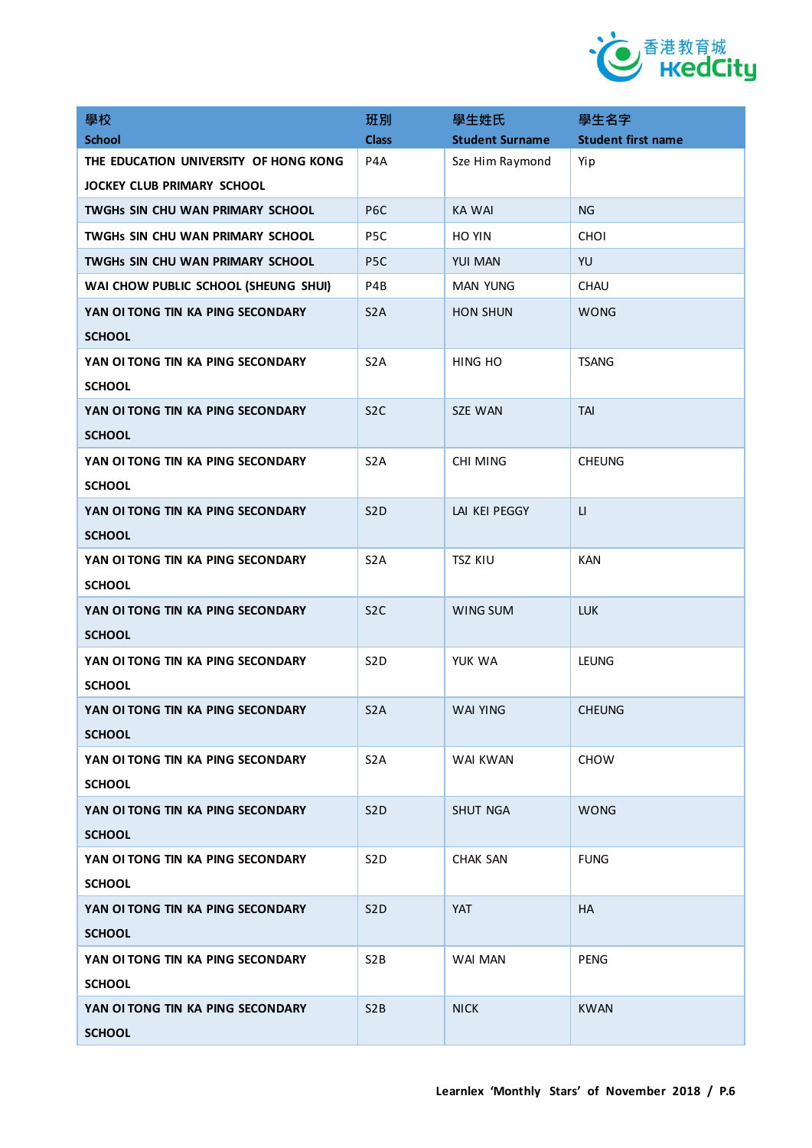

| 學校                                    | 班別               | 學生姓氏                   | 學生名字                      |
|---------------------------------------|------------------|------------------------|---------------------------|
| <b>School</b>                         | <b>Class</b>     | <b>Student Surname</b> | <b>Student first name</b> |
| THE EDUCATION UNIVERSITY OF HONG KONG | P4A              | Sze Him Raymond        | Yip                       |
| <b>JOCKEY CLUB PRIMARY SCHOOL</b>     |                  |                        |                           |
| TWGHs SIN CHU WAN PRIMARY SCHOOL      | P <sub>6</sub> C | <b>KA WAI</b>          | NG                        |
| TWGHS SIN CHU WAN PRIMARY SCHOOL      | P <sub>5</sub> C | <b>HO YIN</b>          | <b>CHOI</b>               |
| TWGHs SIN CHU WAN PRIMARY SCHOOL      | P <sub>5</sub> C | <b>YUI MAN</b>         | YU                        |
| WAI CHOW PUBLIC SCHOOL (SHEUNG SHUI)  | P4B              | <b>MAN YUNG</b>        | <b>CHAU</b>               |
| YAN OI TONG TIN KA PING SECONDARY     | S <sub>2</sub> A | <b>HON SHUN</b>        | <b>WONG</b>               |
| <b>SCHOOL</b>                         |                  |                        |                           |
| YAN OI TONG TIN KA PING SECONDARY     | S <sub>2</sub> A | HING HO                | <b>TSANG</b>              |
| <b>SCHOOL</b>                         |                  |                        |                           |
| YAN OI TONG TIN KA PING SECONDARY     | S <sub>2</sub> C | <b>SZE WAN</b>         | <b>TAI</b>                |
| <b>SCHOOL</b>                         |                  |                        |                           |
| YAN OI TONG TIN KA PING SECONDARY     | S <sub>2</sub> A | CHI MING               | <b>CHEUNG</b>             |
| <b>SCHOOL</b>                         |                  |                        |                           |
| YAN OI TONG TIN KA PING SECONDARY     | S <sub>2</sub> D | LAI KEI PEGGY          | $\mathsf{L}$              |
| <b>SCHOOL</b>                         |                  |                        |                           |
| YAN OI TONG TIN KA PING SECONDARY     | S <sub>2</sub> A | <b>TSZ KIU</b>         | <b>KAN</b>                |
| <b>SCHOOL</b>                         |                  |                        |                           |
| YAN OI TONG TIN KA PING SECONDARY     | S <sub>2</sub> C | WING SUM               | <b>LUK</b>                |
| <b>SCHOOL</b>                         |                  |                        |                           |
| YAN OI TONG TIN KA PING SECONDARY     | S <sub>2</sub> D | YUK WA                 | <b>LEUNG</b>              |
| <b>SCHOOL</b>                         |                  |                        |                           |
| YAN OI TONG TIN KA PING SECONDARY     | S <sub>2</sub> A | <b>WAI YING</b>        | <b>CHEUNG</b>             |
| <b>SCHOOL</b>                         |                  |                        |                           |
| YAN OI TONG TIN KA PING SECONDARY     | S <sub>2</sub> A | WAI KWAN               | <b>CHOW</b>               |
| <b>SCHOOL</b>                         |                  |                        |                           |
| YAN OI TONG TIN KA PING SECONDARY     | S <sub>2</sub> D | <b>SHUT NGA</b>        | <b>WONG</b>               |
| <b>SCHOOL</b>                         |                  |                        |                           |
| YAN OI TONG TIN KA PING SECONDARY     | S <sub>2</sub> D | <b>CHAK SAN</b>        | <b>FUNG</b>               |
| <b>SCHOOL</b>                         |                  |                        |                           |
| YAN OI TONG TIN KA PING SECONDARY     | S <sub>2</sub> D | <b>YAT</b>             | <b>HA</b>                 |
| <b>SCHOOL</b>                         |                  |                        |                           |
| YAN OI TONG TIN KA PING SECONDARY     | S <sub>2</sub> B | WAI MAN                | <b>PENG</b>               |
| <b>SCHOOL</b>                         |                  |                        |                           |
| YAN OI TONG TIN KA PING SECONDARY     | S <sub>2</sub> B | <b>NICK</b>            | <b>KWAN</b>               |
| <b>SCHOOL</b>                         |                  |                        |                           |